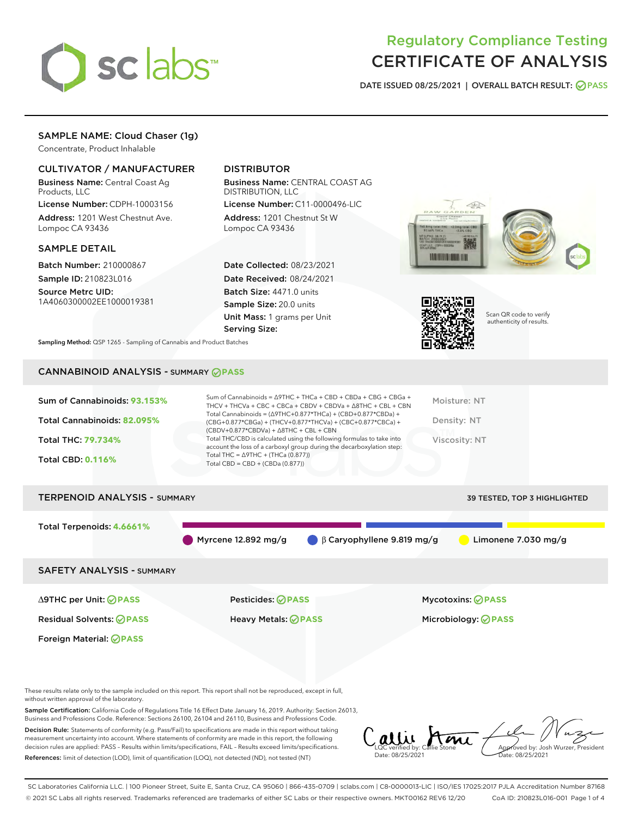

# Regulatory Compliance Testing CERTIFICATE OF ANALYSIS

DATE ISSUED 08/25/2021 | OVERALL BATCH RESULT: @ PASS

# SAMPLE NAME: Cloud Chaser (1g)

Concentrate, Product Inhalable

# CULTIVATOR / MANUFACTURER

Business Name: Central Coast Ag Products, LLC

License Number: CDPH-10003156 Address: 1201 West Chestnut Ave. Lompoc CA 93436

#### SAMPLE DETAIL

Batch Number: 210000867 Sample ID: 210823L016

Source Metrc UID: 1A4060300002EE1000019381

# DISTRIBUTOR

Business Name: CENTRAL COAST AG DISTRIBUTION, LLC

License Number: C11-0000496-LIC Address: 1201 Chestnut St W Lompoc CA 93436

Date Collected: 08/23/2021 Date Received: 08/24/2021 Batch Size: 4471.0 units Sample Size: 20.0 units Unit Mass: 1 grams per Unit Serving Size:





Scan QR code to verify authenticity of results.

Sampling Method: QSP 1265 - Sampling of Cannabis and Product Batches

# CANNABINOID ANALYSIS - SUMMARY **PASS**

| Total Cannabinoids = $(\Delta$ 9THC+0.877*THCa) + (CBD+0.877*CBDa) +<br>Total Cannabinoids: 82.095%<br>Density: NT<br>(CBG+0.877*CBGa) + (THCV+0.877*THCVa) + (CBC+0.877*CBCa) +<br>$(CBDV+0.877*CBDVa) + \Delta 8THC + CBL + CBN$<br>Total THC/CBD is calculated using the following formulas to take into<br><b>Total THC: 79.734%</b><br>Viscosity: NT<br>account the loss of a carboxyl group during the decarboxylation step:<br>Total THC = $\triangle$ 9THC + (THCa (0.877))<br><b>Total CBD: 0.116%</b><br>Total CBD = $CBD + (CBDa (0.877))$ | Sum of Cannabinoids: 93.153% | Sum of Cannabinoids = $\triangle$ 9THC + THCa + CBD + CBDa + CBG + CBGa +<br>THCV + THCVa + CBC + CBCa + CBDV + CBDVa + $\Delta$ 8THC + CBL + CBN | Moisture: NT |
|-------------------------------------------------------------------------------------------------------------------------------------------------------------------------------------------------------------------------------------------------------------------------------------------------------------------------------------------------------------------------------------------------------------------------------------------------------------------------------------------------------------------------------------------------------|------------------------------|---------------------------------------------------------------------------------------------------------------------------------------------------|--------------|
|                                                                                                                                                                                                                                                                                                                                                                                                                                                                                                                                                       |                              |                                                                                                                                                   |              |
|                                                                                                                                                                                                                                                                                                                                                                                                                                                                                                                                                       |                              |                                                                                                                                                   |              |
|                                                                                                                                                                                                                                                                                                                                                                                                                                                                                                                                                       |                              |                                                                                                                                                   |              |

# TERPENOID ANALYSIS - SUMMARY 39 TESTED, TOP 3 HIGHLIGHTED Total Terpenoids: **4.6661%** Myrcene 12.892 mg/g  $\qquad \qquad \beta$  Caryophyllene 9.819 mg/g Limonene 7.030 mg/g SAFETY ANALYSIS - SUMMARY

Foreign Material: **PASS**

∆9THC per Unit: **PASS** Pesticides: **PASS** Mycotoxins: **PASS**

Residual Solvents: **PASS** Heavy Metals: **PASS** Microbiology: **PASS**

These results relate only to the sample included on this report. This report shall not be reproduced, except in full, without written approval of the laboratory.

Sample Certification: California Code of Regulations Title 16 Effect Date January 16, 2019. Authority: Section 26013, Business and Professions Code. Reference: Sections 26100, 26104 and 26110, Business and Professions Code.

Decision Rule: Statements of conformity (e.g. Pass/Fail) to specifications are made in this report without taking measurement uncertainty into account. Where statements of conformity are made in this report, the following decision rules are applied: PASS – Results within limits/specifications, FAIL – Results exceed limits/specifications. References: limit of detection (LOD), limit of quantification (LOQ), not detected (ND), not tested (NT)

alli Ami Aved by: Josh Wurzer, President LQC verified by: Callie Stone Date: 08/25/2021 Date: 08/25/2021

SC Laboratories California LLC. | 100 Pioneer Street, Suite E, Santa Cruz, CA 95060 | 866-435-0709 | sclabs.com | C8-0000013-LIC | ISO/IES 17025:2017 PJLA Accreditation Number 87168 © 2021 SC Labs all rights reserved. Trademarks referenced are trademarks of either SC Labs or their respective owners. MKT00162 REV6 12/20 CoA ID: 210823L016-001 Page 1 of 4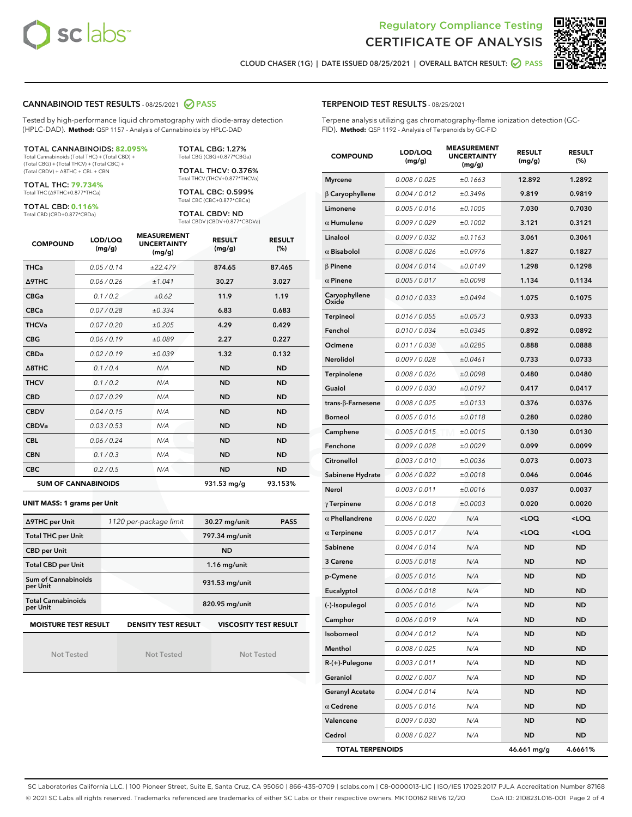



CLOUD CHASER (1G) | DATE ISSUED 08/25/2021 | OVERALL BATCH RESULT: ○ PASS

#### CANNABINOID TEST RESULTS - 08/25/2021 2 PASS

Tested by high-performance liquid chromatography with diode-array detection (HPLC-DAD). **Method:** QSP 1157 - Analysis of Cannabinoids by HPLC-DAD

#### TOTAL CANNABINOIDS: **82.095%**

Total Cannabinoids (Total THC) + (Total CBD) + (Total CBG) + (Total THCV) + (Total CBC) + (Total CBDV) + ∆8THC + CBL + CBN

TOTAL THC: **79.734%** Total THC (∆9THC+0.877\*THCa)

TOTAL CBD: **0.116%**

Total CBD (CBD+0.877\*CBDa)

TOTAL CBG: 1.27% Total CBG (CBG+0.877\*CBGa)

TOTAL THCV: 0.376% Total THCV (THCV+0.877\*THCVa)

TOTAL CBC: 0.599% Total CBC (CBC+0.877\*CBCa)

TOTAL CBDV: ND Total CBDV (CBDV+0.877\*CBDVa)

| <b>COMPOUND</b> | LOD/LOQ<br>(mg/g)          | <b>MEASUREMENT</b><br><b>UNCERTAINTY</b><br>(mg/g) | <b>RESULT</b><br>(mg/g) | <b>RESULT</b><br>(%) |
|-----------------|----------------------------|----------------------------------------------------|-------------------------|----------------------|
| <b>THCa</b>     | 0.05/0.14                  | ±22.479                                            | 874.65                  | 87.465               |
| <b>A9THC</b>    | 0.06 / 0.26                | ±1.041                                             | 30.27                   | 3.027                |
| <b>CBGa</b>     | 0.1/0.2                    | ±0.62                                              | 11.9                    | 1.19                 |
| <b>CBCa</b>     | 0.07 / 0.28                | ±0.334                                             | 6.83                    | 0.683                |
| <b>THCVa</b>    | 0.07/0.20                  | ±0.205                                             | 4.29                    | 0.429                |
| <b>CBG</b>      | 0.06/0.19                  | ±0.089                                             | 2.27                    | 0.227                |
| <b>CBDa</b>     | 0.02/0.19                  | ±0.039                                             | 1.32                    | 0.132                |
| A8THC           | 0.1/0.4                    | N/A                                                | <b>ND</b>               | <b>ND</b>            |
| <b>THCV</b>     | 0.1/0.2                    | N/A                                                | <b>ND</b>               | <b>ND</b>            |
| <b>CBD</b>      | 0.07/0.29                  | N/A                                                | <b>ND</b>               | <b>ND</b>            |
| <b>CBDV</b>     | 0.04 / 0.15                | N/A                                                | <b>ND</b>               | <b>ND</b>            |
| <b>CBDVa</b>    | 0.03/0.53                  | N/A                                                | <b>ND</b>               | <b>ND</b>            |
| <b>CBL</b>      | 0.06 / 0.24                | N/A                                                | <b>ND</b>               | <b>ND</b>            |
| <b>CBN</b>      | 0.1/0.3                    | N/A                                                | <b>ND</b>               | <b>ND</b>            |
| <b>CBC</b>      | 0.2 / 0.5                  | N/A                                                | <b>ND</b>               | <b>ND</b>            |
|                 | <b>SUM OF CANNABINOIDS</b> |                                                    | 931.53 mg/g             | 93.153%              |

#### **UNIT MASS: 1 grams per Unit**

| ∆9THC per Unit                        | 1120 per-package limit     | 30.27 mg/unit<br><b>PASS</b> |
|---------------------------------------|----------------------------|------------------------------|
| <b>Total THC per Unit</b>             |                            | 797.34 mg/unit               |
| <b>CBD per Unit</b>                   |                            | <b>ND</b>                    |
| <b>Total CBD per Unit</b>             |                            | $1.16$ mg/unit               |
| Sum of Cannabinoids<br>per Unit       |                            | 931.53 mg/unit               |
| <b>Total Cannabinoids</b><br>per Unit |                            | 820.95 mg/unit               |
| <b>MOISTURE TEST RESULT</b>           | <b>DENSITY TEST RESULT</b> | <b>VISCOSITY TEST RESULT</b> |

Not Tested

Not Tested

Not Tested

#### TERPENOID TEST RESULTS - 08/25/2021

Terpene analysis utilizing gas chromatography-flame ionization detection (GC-FID). **Method:** QSP 1192 - Analysis of Terpenoids by GC-FID

| <b>COMPOUND</b>         | LOD/LOQ<br>(mg/g) | <b>MEASUREMENT</b><br><b>UNCERTAINTY</b><br>(mg/g) | <b>RESULT</b><br>(mg/g)                         | <b>RESULT</b><br>$(\%)$ |
|-------------------------|-------------------|----------------------------------------------------|-------------------------------------------------|-------------------------|
| <b>Myrcene</b>          | 0.008 / 0.025     | ±0.1663                                            | 12.892                                          | 1.2892                  |
| $\beta$ Caryophyllene   | 0.004 / 0.012     | ±0.3496                                            | 9.819                                           | 0.9819                  |
| Limonene                | 0.005 / 0.016     | ±0.1005                                            | 7.030                                           | 0.7030                  |
| $\alpha$ Humulene       | 0.009 / 0.029     | ±0.1002                                            | 3.121                                           | 0.3121                  |
| Linalool                | 0.009 / 0.032     | ±0.1163                                            | 3.061                                           | 0.3061                  |
| $\alpha$ Bisabolol      | 0.008 / 0.026     | ±0.0976                                            | 1.827                                           | 0.1827                  |
| $\beta$ Pinene          | 0.004 / 0.014     | ±0.0149                                            | 1.298                                           | 0.1298                  |
| $\alpha$ Pinene         | 0.005 / 0.017     | ±0.0098                                            | 1.134                                           | 0.1134                  |
| Caryophyllene<br>Oxide  | 0.010 / 0.033     | ±0.0494                                            | 1.075                                           | 0.1075                  |
| Terpineol               | 0.016 / 0.055     | ±0.0573                                            | 0.933                                           | 0.0933                  |
| Fenchol                 | 0.010 / 0.034     | ±0.0345                                            | 0.892                                           | 0.0892                  |
| Ocimene                 | 0.011 / 0.038     | ±0.0285                                            | 0.888                                           | 0.0888                  |
| Nerolidol               | 0.009 / 0.028     | ±0.0461                                            | 0.733                                           | 0.0733                  |
| Terpinolene             | 0.008 / 0.026     | ±0.0098                                            | 0.480                                           | 0.0480                  |
| Guaiol                  | 0.009 / 0.030     | ±0.0197                                            | 0.417                                           | 0.0417                  |
| trans-ß-Farnesene       | 0.008 / 0.025     | ±0.0133                                            | 0.376                                           | 0.0376                  |
| <b>Borneol</b>          | 0.005 / 0.016     | ±0.0118                                            | 0.280                                           | 0.0280                  |
| Camphene                | 0.005 / 0.015     | ±0.0015                                            | 0.130                                           | 0.0130                  |
| Fenchone                | 0.009 / 0.028     | ±0.0029                                            | 0.099                                           | 0.0099                  |
| Citronellol             | 0.003 / 0.010     | ±0.0036                                            | 0.073                                           | 0.0073                  |
| Sabinene Hydrate        | 0.006 / 0.022     | ±0.0018                                            | 0.046                                           | 0.0046                  |
| Nerol                   | 0.003 / 0.011     | ±0.0016                                            | 0.037                                           | 0.0037                  |
| $\gamma$ Terpinene      | 0.006 / 0.018     | ±0.0003                                            | 0.020                                           | 0.0020                  |
| $\alpha$ Phellandrene   | 0.006 / 0.020     | N/A                                                | <loq< th=""><th><loq< th=""></loq<></th></loq<> | <loq< th=""></loq<>     |
| $\alpha$ Terpinene      | 0.005 / 0.017     | N/A                                                | <loq< th=""><th><loq< th=""></loq<></th></loq<> | <loq< th=""></loq<>     |
| Sabinene                | 0.004 / 0.014     | N/A                                                | <b>ND</b>                                       | <b>ND</b>               |
| 3 Carene                | 0.005 / 0.018     | N/A                                                | <b>ND</b>                                       | <b>ND</b>               |
| p-Cymene                | 0.005 / 0.016     | N/A                                                | <b>ND</b>                                       | <b>ND</b>               |
| Eucalyptol              | 0.006 / 0.018     | N/A                                                | <b>ND</b>                                       | <b>ND</b>               |
| (-)-Isopulegol          | 0.005 / 0.016     | N/A                                                | <b>ND</b>                                       | <b>ND</b>               |
| Camphor                 | 0.006 / 0.019     | N/A                                                | ND                                              | ND                      |
| Isoborneol              | 0.004 / 0.012     | N/A                                                | <b>ND</b>                                       | ND                      |
| Menthol                 | 0.008 / 0.025     | N/A                                                | <b>ND</b>                                       | ND                      |
| R-(+)-Pulegone          | 0.003 / 0.011     | N/A                                                | ND                                              | ND                      |
| Geraniol                | 0.002 / 0.007     | N/A                                                | ND                                              | ND                      |
| <b>Geranyl Acetate</b>  | 0.004 / 0.014     | N/A                                                | ND                                              | ND                      |
| $\alpha$ Cedrene        | 0.005 / 0.016     | N/A                                                | ND                                              | ND                      |
| Valencene               | 0.009 / 0.030     | N/A                                                | ND                                              | ND                      |
| Cedrol                  | 0.008 / 0.027     | N/A                                                | <b>ND</b>                                       | <b>ND</b>               |
| <b>TOTAL TERPENOIDS</b> |                   |                                                    | 46.661 mg/g                                     | 4.6661%                 |

SC Laboratories California LLC. | 100 Pioneer Street, Suite E, Santa Cruz, CA 95060 | 866-435-0709 | sclabs.com | C8-0000013-LIC | ISO/IES 17025:2017 PJLA Accreditation Number 87168 © 2021 SC Labs all rights reserved. Trademarks referenced are trademarks of either SC Labs or their respective owners. MKT00162 REV6 12/20 CoA ID: 210823L016-001 Page 2 of 4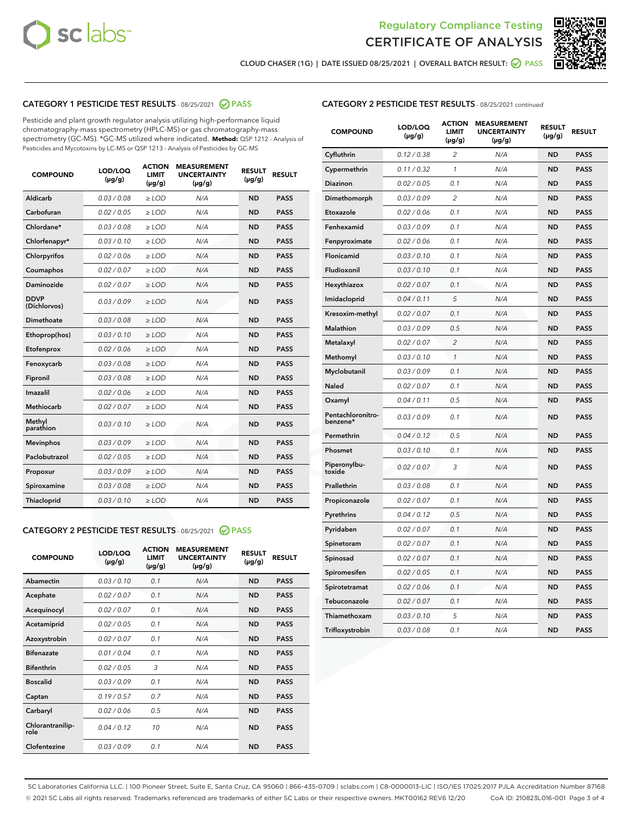



CLOUD CHASER (1G) | DATE ISSUED 08/25/2021 | OVERALL BATCH RESULT: ● PASS

# CATEGORY 1 PESTICIDE TEST RESULTS - 08/25/2021 2 PASS

Pesticide and plant growth regulator analysis utilizing high-performance liquid chromatography-mass spectrometry (HPLC-MS) or gas chromatography-mass spectrometry (GC-MS). \*GC-MS utilized where indicated. **Method:** QSP 1212 - Analysis of Pesticides and Mycotoxins by LC-MS or QSP 1213 - Analysis of Pesticides by GC-MS

| <b>COMPOUND</b>             | LOD/LOQ<br>$(\mu g/g)$ | <b>ACTION</b><br><b>LIMIT</b><br>$(\mu g/g)$ | <b>MEASUREMENT</b><br><b>UNCERTAINTY</b><br>$(\mu g/g)$ | <b>RESULT</b><br>$(\mu g/g)$ | <b>RESULT</b> |
|-----------------------------|------------------------|----------------------------------------------|---------------------------------------------------------|------------------------------|---------------|
| Aldicarb                    | 0.03 / 0.08            | $\ge$ LOD                                    | N/A                                                     | <b>ND</b>                    | <b>PASS</b>   |
| Carbofuran                  | 0.02 / 0.05            | $\geq$ LOD                                   | N/A                                                     | <b>ND</b>                    | <b>PASS</b>   |
| Chlordane*                  | 0.03 / 0.08            | $\ge$ LOD                                    | N/A                                                     | <b>ND</b>                    | <b>PASS</b>   |
| Chlorfenapyr*               | 0.03/0.10              | $\geq$ LOD                                   | N/A                                                     | <b>ND</b>                    | <b>PASS</b>   |
| Chlorpyrifos                | 0.02 / 0.06            | $\ge$ LOD                                    | N/A                                                     | <b>ND</b>                    | <b>PASS</b>   |
| Coumaphos                   | 0.02 / 0.07            | $\ge$ LOD                                    | N/A                                                     | <b>ND</b>                    | <b>PASS</b>   |
| Daminozide                  | 0.02 / 0.07            | $\ge$ LOD                                    | N/A                                                     | <b>ND</b>                    | <b>PASS</b>   |
| <b>DDVP</b><br>(Dichlorvos) | 0.03/0.09              | $>$ LOD                                      | N/A                                                     | <b>ND</b>                    | <b>PASS</b>   |
| Dimethoate                  | 0.03 / 0.08            | $\ge$ LOD                                    | N/A                                                     | <b>ND</b>                    | <b>PASS</b>   |
| Ethoprop(hos)               | 0.03/0.10              | $>$ LOD                                      | N/A                                                     | <b>ND</b>                    | <b>PASS</b>   |
| Etofenprox                  | 0.02 / 0.06            | $\ge$ LOD                                    | N/A                                                     | <b>ND</b>                    | <b>PASS</b>   |
| Fenoxycarb                  | 0.03 / 0.08            | $\ge$ LOD                                    | N/A                                                     | <b>ND</b>                    | <b>PASS</b>   |
| Fipronil                    | 0.03/0.08              | $\ge$ LOD                                    | N/A                                                     | <b>ND</b>                    | <b>PASS</b>   |
| Imazalil                    | 0.02 / 0.06            | $>$ LOD                                      | N/A                                                     | <b>ND</b>                    | <b>PASS</b>   |
| <b>Methiocarb</b>           | 0.02 / 0.07            | $\ge$ LOD                                    | N/A                                                     | <b>ND</b>                    | <b>PASS</b>   |
| Methyl<br>parathion         | 0.03/0.10              | $\ge$ LOD                                    | N/A                                                     | <b>ND</b>                    | <b>PASS</b>   |
| <b>Mevinphos</b>            | 0.03/0.09              | $\ge$ LOD                                    | N/A                                                     | <b>ND</b>                    | <b>PASS</b>   |
| Paclobutrazol               | 0.02 / 0.05            | $>$ LOD                                      | N/A                                                     | <b>ND</b>                    | <b>PASS</b>   |
| Propoxur                    | 0.03/0.09              | $\ge$ LOD                                    | N/A                                                     | <b>ND</b>                    | <b>PASS</b>   |
| Spiroxamine                 | 0.03/0.08              | $\ge$ LOD                                    | N/A                                                     | <b>ND</b>                    | <b>PASS</b>   |
| Thiacloprid                 | 0.03/0.10              | $\ge$ LOD                                    | N/A                                                     | <b>ND</b>                    | <b>PASS</b>   |

# CATEGORY 2 PESTICIDE TEST RESULTS - 08/25/2021 @ PASS

| <b>COMPOUND</b>          | LOD/LOO<br>$(\mu g/g)$ | <b>ACTION</b><br>LIMIT<br>$(\mu g/g)$ | <b>MEASUREMENT</b><br><b>UNCERTAINTY</b><br>$(\mu g/g)$ | <b>RESULT</b><br>$(\mu g/g)$ | <b>RESULT</b> |
|--------------------------|------------------------|---------------------------------------|---------------------------------------------------------|------------------------------|---------------|
| Abamectin                | 0.03/0.10              | 0.1                                   | N/A                                                     | <b>ND</b>                    | <b>PASS</b>   |
| Acephate                 | 0.02/0.07              | 0.1                                   | N/A                                                     | <b>ND</b>                    | <b>PASS</b>   |
| Acequinocyl              | 0.02/0.07              | 0.1                                   | N/A                                                     | <b>ND</b>                    | <b>PASS</b>   |
| Acetamiprid              | 0.02/0.05              | 0.1                                   | N/A                                                     | <b>ND</b>                    | <b>PASS</b>   |
| Azoxystrobin             | 0.02/0.07              | 0.1                                   | N/A                                                     | <b>ND</b>                    | <b>PASS</b>   |
| <b>Bifenazate</b>        | 0.01/0.04              | 0.1                                   | N/A                                                     | <b>ND</b>                    | <b>PASS</b>   |
| <b>Bifenthrin</b>        | 0.02/0.05              | 3                                     | N/A                                                     | <b>ND</b>                    | <b>PASS</b>   |
| <b>Boscalid</b>          | 0.03/0.09              | 0.1                                   | N/A                                                     | <b>ND</b>                    | <b>PASS</b>   |
| Captan                   | 0.19/0.57              | 0.7                                   | N/A                                                     | <b>ND</b>                    | <b>PASS</b>   |
| Carbaryl                 | 0.02/0.06              | 0.5                                   | N/A                                                     | <b>ND</b>                    | <b>PASS</b>   |
| Chlorantranilip-<br>role | 0.04/0.12              | 10                                    | N/A                                                     | <b>ND</b>                    | <b>PASS</b>   |
| Clofentezine             | 0.03/0.09              | 0.1                                   | N/A                                                     | <b>ND</b>                    | <b>PASS</b>   |

# CATEGORY 2 PESTICIDE TEST RESULTS - 08/25/2021 continued

| <b>COMPOUND</b>               | LOD/LOQ<br>(µg/g) | <b>ACTION</b><br><b>LIMIT</b><br>$(\mu g/g)$ | <b>MEASUREMENT</b><br><b>UNCERTAINTY</b><br>$(\mu g/g)$ | <b>RESULT</b><br>(µg/g) | <b>RESULT</b> |
|-------------------------------|-------------------|----------------------------------------------|---------------------------------------------------------|-------------------------|---------------|
| Cyfluthrin                    | 0.12 / 0.38       | $\overline{c}$                               | N/A                                                     | ND                      | <b>PASS</b>   |
| Cypermethrin                  | 0.11 / 0.32       | $\mathcal{I}$                                | N/A                                                     | ND                      | <b>PASS</b>   |
| <b>Diazinon</b>               | 0.02 / 0.05       | 0.1                                          | N/A                                                     | <b>ND</b>               | <b>PASS</b>   |
| Dimethomorph                  | 0.03 / 0.09       | 2                                            | N/A                                                     | ND                      | <b>PASS</b>   |
| Etoxazole                     | 0.02 / 0.06       | 0.1                                          | N/A                                                     | ND                      | <b>PASS</b>   |
| Fenhexamid                    | 0.03 / 0.09       | 0.1                                          | N/A                                                     | ND                      | <b>PASS</b>   |
| Fenpyroximate                 | 0.02 / 0.06       | 0.1                                          | N/A                                                     | <b>ND</b>               | <b>PASS</b>   |
| Flonicamid                    | 0.03 / 0.10       | 0.1                                          | N/A                                                     | ND                      | <b>PASS</b>   |
| Fludioxonil                   | 0.03 / 0.10       | 0.1                                          | N/A                                                     | ND                      | <b>PASS</b>   |
| Hexythiazox                   | 0.02 / 0.07       | 0.1                                          | N/A                                                     | ND                      | <b>PASS</b>   |
| Imidacloprid                  | 0.04 / 0.11       | 5                                            | N/A                                                     | ND                      | <b>PASS</b>   |
| Kresoxim-methyl               | 0.02 / 0.07       | 0.1                                          | N/A                                                     | ND                      | <b>PASS</b>   |
| Malathion                     | 0.03 / 0.09       | 0.5                                          | N/A                                                     | <b>ND</b>               | <b>PASS</b>   |
| Metalaxyl                     | 0.02 / 0.07       | $\overline{c}$                               | N/A                                                     | ND                      | <b>PASS</b>   |
| Methomyl                      | 0.03 / 0.10       | 1                                            | N/A                                                     | ND                      | <b>PASS</b>   |
| Myclobutanil                  | 0.03 / 0.09       | 0.1                                          | N/A                                                     | <b>ND</b>               | <b>PASS</b>   |
| Naled                         | 0.02 / 0.07       | 0.1                                          | N/A                                                     | ND                      | <b>PASS</b>   |
| Oxamyl                        | 0.04 / 0.11       | 0.5                                          | N/A                                                     | ND                      | <b>PASS</b>   |
| Pentachloronitro-<br>benzene* | 0.03 / 0.09       | 0.1                                          | N/A                                                     | ND                      | <b>PASS</b>   |
| Permethrin                    | 0.04 / 0.12       | 0.5                                          | N/A                                                     | ND                      | <b>PASS</b>   |
| Phosmet                       | 0.03 / 0.10       | 0.1                                          | N/A                                                     | ND                      | <b>PASS</b>   |
| Piperonylbu-<br>toxide        | 0.02 / 0.07       | 3                                            | N/A                                                     | ND                      | <b>PASS</b>   |
| Prallethrin                   | 0.03 / 0.08       | 0.1                                          | N/A                                                     | ND                      | <b>PASS</b>   |
| Propiconazole                 | 0.02 / 0.07       | 0.1                                          | N/A                                                     | ND                      | <b>PASS</b>   |
| Pyrethrins                    | 0.04 / 0.12       | 0.5                                          | N/A                                                     | ND                      | <b>PASS</b>   |
| Pyridaben                     | 0.02 / 0.07       | 0.1                                          | N/A                                                     | <b>ND</b>               | <b>PASS</b>   |
| Spinetoram                    | 0.02 / 0.07       | 0.1                                          | N/A                                                     | ND                      | <b>PASS</b>   |
| Spinosad                      | 0.02 / 0.07       | 0.1                                          | N/A                                                     | ND                      | <b>PASS</b>   |
| Spiromesifen                  | 0.02 / 0.05       | 0.1                                          | N/A                                                     | <b>ND</b>               | <b>PASS</b>   |
| Spirotetramat                 | 0.02 / 0.06       | 0.1                                          | N/A                                                     | ND                      | <b>PASS</b>   |
| Tebuconazole                  | 0.02 / 0.07       | 0.1                                          | N/A                                                     | ND                      | <b>PASS</b>   |
| Thiamethoxam                  | 0.03 / 0.10       | 5                                            | N/A                                                     | <b>ND</b>               | <b>PASS</b>   |
| Trifloxystrobin               | 0.03 / 0.08       | 0.1                                          | N/A                                                     | <b>ND</b>               | <b>PASS</b>   |

SC Laboratories California LLC. | 100 Pioneer Street, Suite E, Santa Cruz, CA 95060 | 866-435-0709 | sclabs.com | C8-0000013-LIC | ISO/IES 17025:2017 PJLA Accreditation Number 87168 © 2021 SC Labs all rights reserved. Trademarks referenced are trademarks of either SC Labs or their respective owners. MKT00162 REV6 12/20 CoA ID: 210823L016-001 Page 3 of 4